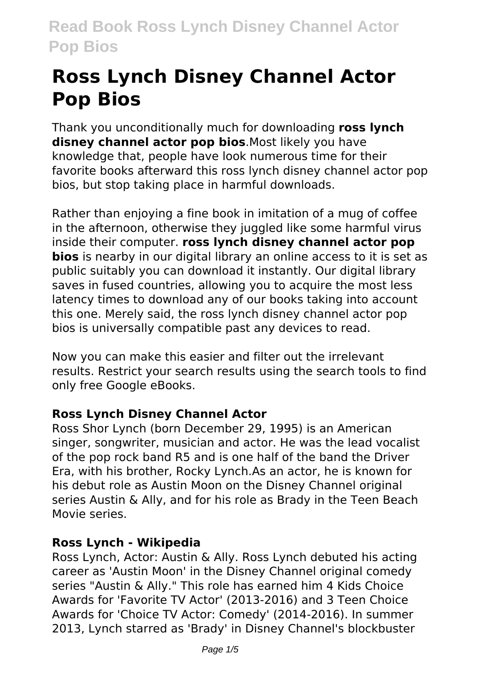# **Ross Lynch Disney Channel Actor Pop Bios**

Thank you unconditionally much for downloading **ross lynch disney channel actor pop bios**.Most likely you have knowledge that, people have look numerous time for their favorite books afterward this ross lynch disney channel actor pop bios, but stop taking place in harmful downloads.

Rather than enjoying a fine book in imitation of a mug of coffee in the afternoon, otherwise they juggled like some harmful virus inside their computer. **ross lynch disney channel actor pop bios** is nearby in our digital library an online access to it is set as public suitably you can download it instantly. Our digital library saves in fused countries, allowing you to acquire the most less latency times to download any of our books taking into account this one. Merely said, the ross lynch disney channel actor pop bios is universally compatible past any devices to read.

Now you can make this easier and filter out the irrelevant results. Restrict your search results using the search tools to find only free Google eBooks.

## **Ross Lynch Disney Channel Actor**

Ross Shor Lynch (born December 29, 1995) is an American singer, songwriter, musician and actor. He was the lead vocalist of the pop rock band R5 and is one half of the band the Driver Era, with his brother, Rocky Lynch.As an actor, he is known for his debut role as Austin Moon on the Disney Channel original series Austin & Ally, and for his role as Brady in the Teen Beach Movie series.

## **Ross Lynch - Wikipedia**

Ross Lynch, Actor: Austin & Ally. Ross Lynch debuted his acting career as 'Austin Moon' in the Disney Channel original comedy series "Austin & Ally." This role has earned him 4 Kids Choice Awards for 'Favorite TV Actor' (2013-2016) and 3 Teen Choice Awards for 'Choice TV Actor: Comedy' (2014-2016). In summer 2013, Lynch starred as 'Brady' in Disney Channel's blockbuster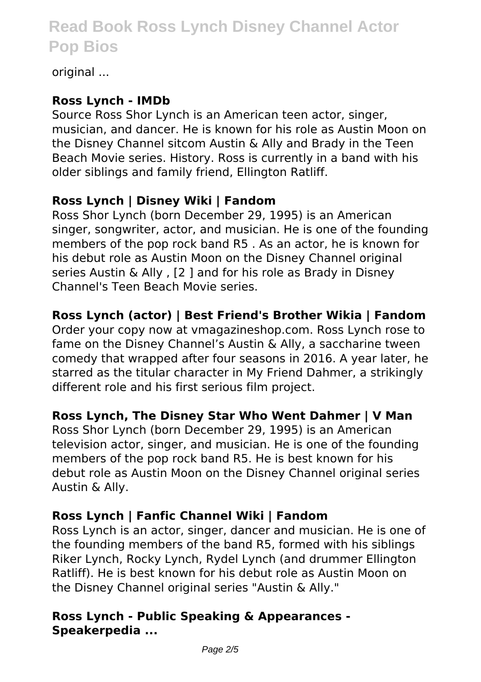original ...

#### **Ross Lynch - IMDb**

Source Ross Shor Lynch is an American teen actor, singer, musician, and dancer. He is known for his role as Austin Moon on the Disney Channel sitcom Austin & Ally and Brady in the Teen Beach Movie series. History. Ross is currently in a band with his older siblings and family friend, Ellington Ratliff.

# **Ross Lynch | Disney Wiki | Fandom**

Ross Shor Lynch (born December 29, 1995) is an American singer, songwriter, actor, and musician. He is one of the founding members of the pop rock band R5 . As an actor, he is known for his debut role as Austin Moon on the Disney Channel original series Austin & Ally , [2 ] and for his role as Brady in Disney Channel's Teen Beach Movie series.

# **Ross Lynch (actor) | Best Friend's Brother Wikia | Fandom**

Order your copy now at vmagazineshop.com. Ross Lynch rose to fame on the Disney Channel's Austin & Ally, a saccharine tween comedy that wrapped after four seasons in 2016. A year later, he starred as the titular character in My Friend Dahmer, a strikingly different role and his first serious film project.

## **Ross Lynch, The Disney Star Who Went Dahmer | V Man**

Ross Shor Lynch (born December 29, 1995) is an American television actor, singer, and musician. He is one of the founding members of the pop rock band R5. He is best known for his debut role as Austin Moon on the Disney Channel original series Austin & Ally.

## **Ross Lynch | Fanfic Channel Wiki | Fandom**

Ross Lynch is an actor, singer, dancer and musician. He is one of the founding members of the band R5, formed with his siblings Riker Lynch, Rocky Lynch, Rydel Lynch (and drummer Ellington Ratliff). He is best known for his debut role as Austin Moon on the Disney Channel original series "Austin & Ally."

## **Ross Lynch - Public Speaking & Appearances - Speakerpedia ...**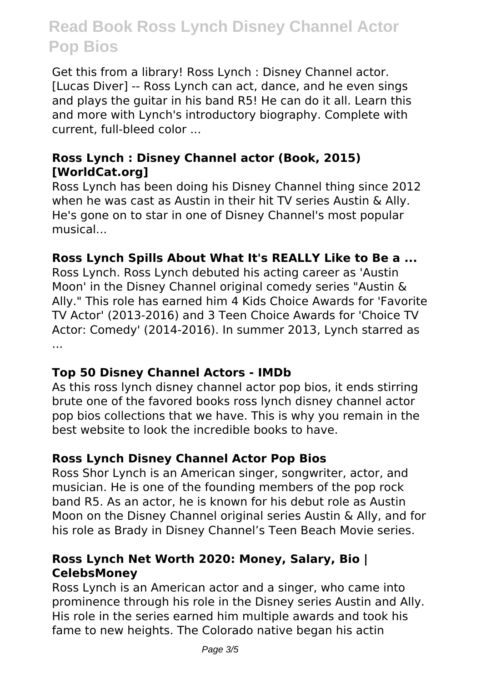Get this from a library! Ross Lynch : Disney Channel actor. [Lucas Diver] -- Ross Lynch can act, dance, and he even sings and plays the guitar in his band R5! He can do it all. Learn this and more with Lynch's introductory biography. Complete with current, full-bleed color ...

#### **Ross Lynch : Disney Channel actor (Book, 2015) [WorldCat.org]**

Ross Lynch has been doing his Disney Channel thing since 2012 when he was cast as Austin in their hit TV series Austin & Ally. He's gone on to star in one of Disney Channel's most popular musical...

#### **Ross Lynch Spills About What It's REALLY Like to Be a ...**

Ross Lynch. Ross Lynch debuted his acting career as 'Austin Moon' in the Disney Channel original comedy series "Austin & Ally." This role has earned him 4 Kids Choice Awards for 'Favorite TV Actor' (2013-2016) and 3 Teen Choice Awards for 'Choice TV Actor: Comedy' (2014-2016). In summer 2013, Lynch starred as ...

#### **Top 50 Disney Channel Actors - IMDb**

As this ross lynch disney channel actor pop bios, it ends stirring brute one of the favored books ross lynch disney channel actor pop bios collections that we have. This is why you remain in the best website to look the incredible books to have.

#### **Ross Lynch Disney Channel Actor Pop Bios**

Ross Shor Lynch is an American singer, songwriter, actor, and musician. He is one of the founding members of the pop rock band R5. As an actor, he is known for his debut role as Austin Moon on the Disney Channel original series Austin & Ally, and for his role as Brady in Disney Channel's Teen Beach Movie series.

#### **Ross Lynch Net Worth 2020: Money, Salary, Bio | CelebsMoney**

Ross Lynch is an American actor and a singer, who came into prominence through his role in the Disney series Austin and Ally. His role in the series earned him multiple awards and took his fame to new heights. The Colorado native began his actin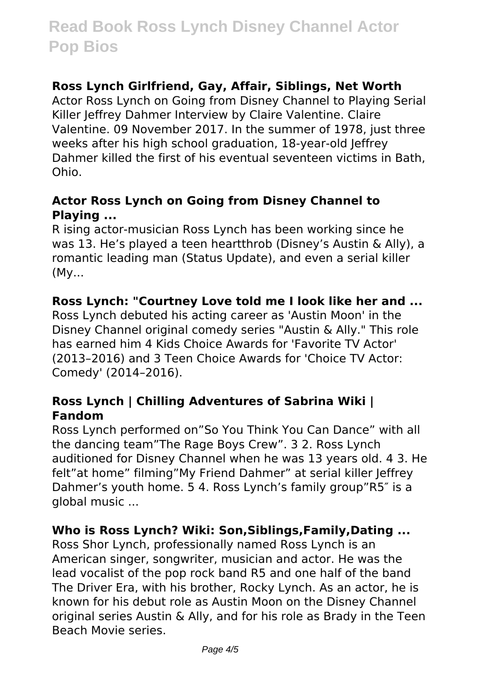#### **Ross Lynch Girlfriend, Gay, Affair, Siblings, Net Worth**

Actor Ross Lynch on Going from Disney Channel to Playing Serial Killer Jeffrey Dahmer Interview by Claire Valentine. Claire Valentine. 09 November 2017. In the summer of 1978, just three weeks after his high school graduation, 18-year-old Jeffrey Dahmer killed the first of his eventual seventeen victims in Bath, Ohio.

#### **Actor Ross Lynch on Going from Disney Channel to Playing ...**

R ising actor-musician Ross Lynch has been working since he was 13. He's played a teen heartthrob (Disney's Austin & Ally), a romantic leading man (Status Update), and even a serial killer (My...

#### **Ross Lynch: "Courtney Love told me I look like her and ...**

Ross Lynch debuted his acting career as 'Austin Moon' in the Disney Channel original comedy series "Austin & Ally." This role has earned him 4 Kids Choice Awards for 'Favorite TV Actor' (2013–2016) and 3 Teen Choice Awards for 'Choice TV Actor: Comedy' (2014–2016).

#### **Ross Lynch | Chilling Adventures of Sabrina Wiki | Fandom**

Ross Lynch performed on"So You Think You Can Dance" with all the dancing team"The Rage Boys Crew". 3 2. Ross Lynch auditioned for Disney Channel when he was 13 years old. 4 3. He felt"at home" filming"My Friend Dahmer" at serial killer leffrey Dahmer's youth home. 5 4. Ross Lynch's family group"R5″ is a global music ...

#### **Who is Ross Lynch? Wiki: Son,Siblings,Family,Dating ...**

Ross Shor Lynch, professionally named Ross Lynch is an American singer, songwriter, musician and actor. He was the lead vocalist of the pop rock band R5 and one half of the band The Driver Era, with his brother, Rocky Lynch. As an actor, he is known for his debut role as Austin Moon on the Disney Channel original series Austin & Ally, and for his role as Brady in the Teen Beach Movie series.